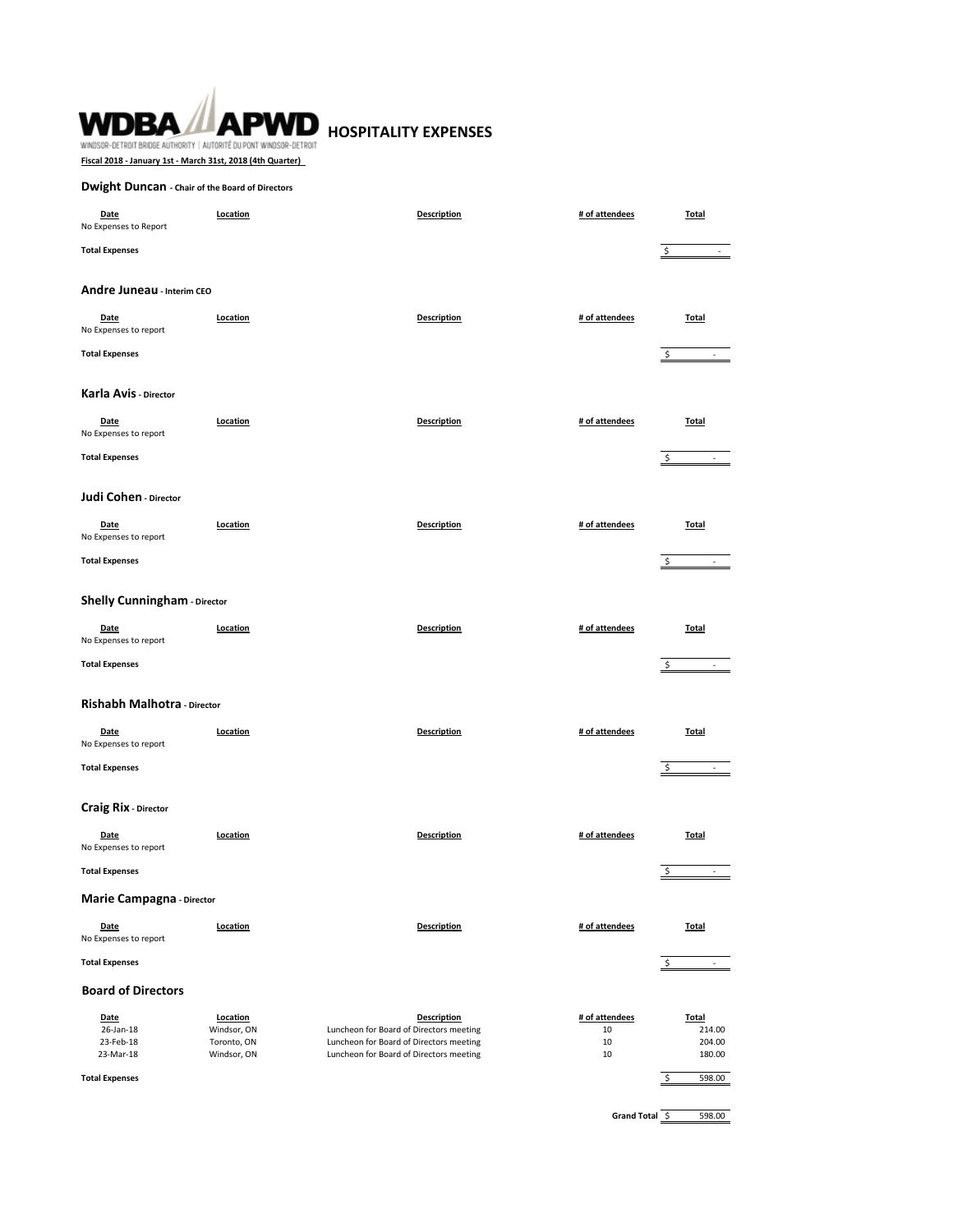# **WDBA APWD** HOSPITALITY EXPENSES WINDSOR-DETROIT BRIDGE AUTHORITY | AUTORITÉ DU PONT WINDSOR-DETROIT

**Fiscal 2018 - January 1st - March 31st, 2018 (4th Quarter)** 

# **Dwight Duncan - Chair of the Board of Directors**

| Date<br>No Expenses to Report               | Location                                              | <b>Description</b>                                                                                                                                  | # of attendees                   | <b>Total</b>                               |
|---------------------------------------------|-------------------------------------------------------|-----------------------------------------------------------------------------------------------------------------------------------------------------|----------------------------------|--------------------------------------------|
| <b>Total Expenses</b>                       |                                                       |                                                                                                                                                     |                                  | \$<br>٠.,                                  |
| Andre Juneau - Interim CEO                  |                                                       |                                                                                                                                                     |                                  |                                            |
| Date<br>No Expenses to report               | Location                                              | <b>Description</b>                                                                                                                                  | # of attendees                   | <b>Total</b>                               |
| <b>Total Expenses</b>                       |                                                       |                                                                                                                                                     |                                  | \$<br>and the state of                     |
| Karla Avis - Director                       |                                                       |                                                                                                                                                     |                                  |                                            |
| Date<br>No Expenses to report               | Location                                              | <b>Description</b>                                                                                                                                  | # of attendees                   | <b>Total</b>                               |
| <b>Total Expenses</b>                       |                                                       |                                                                                                                                                     |                                  | $\overline{\phantom{a}}$ .                 |
| Judi Cohen - Director                       |                                                       |                                                                                                                                                     |                                  |                                            |
| Date<br>No Expenses to report               | Location                                              | <b>Description</b>                                                                                                                                  | # of attendees                   | <b>Total</b>                               |
| <b>Total Expenses</b>                       |                                                       |                                                                                                                                                     |                                  | \$                                         |
| <b>Shelly Cunningham - Director</b>         |                                                       |                                                                                                                                                     |                                  |                                            |
| Date<br>No Expenses to report               | Location                                              | <b>Description</b>                                                                                                                                  | # of attendees                   | <b>Total</b>                               |
| <b>Total Expenses</b>                       |                                                       |                                                                                                                                                     |                                  | \$                                         |
| Rishabh Malhotra - Director                 |                                                       |                                                                                                                                                     |                                  |                                            |
| Date<br>No Expenses to report               | Location                                              | <b>Description</b>                                                                                                                                  | # of attendees                   | <b>Total</b>                               |
| <b>Total Expenses</b>                       |                                                       |                                                                                                                                                     |                                  |                                            |
| <b>Craig Rix - Director</b>                 |                                                       |                                                                                                                                                     |                                  |                                            |
| Date<br>No Expenses to report               | Location                                              | <b>Description</b>                                                                                                                                  | # of attendees                   | <b>Total</b>                               |
| <b>Total Expenses</b>                       |                                                       |                                                                                                                                                     |                                  | $\sim$                                     |
| <b>Marie Campagna - Director</b>            |                                                       |                                                                                                                                                     |                                  |                                            |
| Date<br>No Expenses to report               | Location                                              | <b>Description</b>                                                                                                                                  | # of attendees                   | <b>Total</b>                               |
| <b>Total Expenses</b>                       |                                                       |                                                                                                                                                     |                                  |                                            |
| <b>Board of Directors</b>                   |                                                       |                                                                                                                                                     |                                  |                                            |
| Date<br>26-Jan-18<br>23-Feb-18<br>23-Mar-18 | Location<br>Windsor, ON<br>Toronto, ON<br>Windsor, ON | <b>Description</b><br>Luncheon for Board of Directors meeting<br>Luncheon for Board of Directors meeting<br>Luncheon for Board of Directors meeting | # of attendees<br>10<br>10<br>10 | <b>Total</b><br>214.00<br>204.00<br>180.00 |
| <b>Total Expenses</b>                       |                                                       |                                                                                                                                                     |                                  | \$<br>598.00                               |
|                                             |                                                       |                                                                                                                                                     | <b>Grand Total</b>               | -\$<br>598.00                              |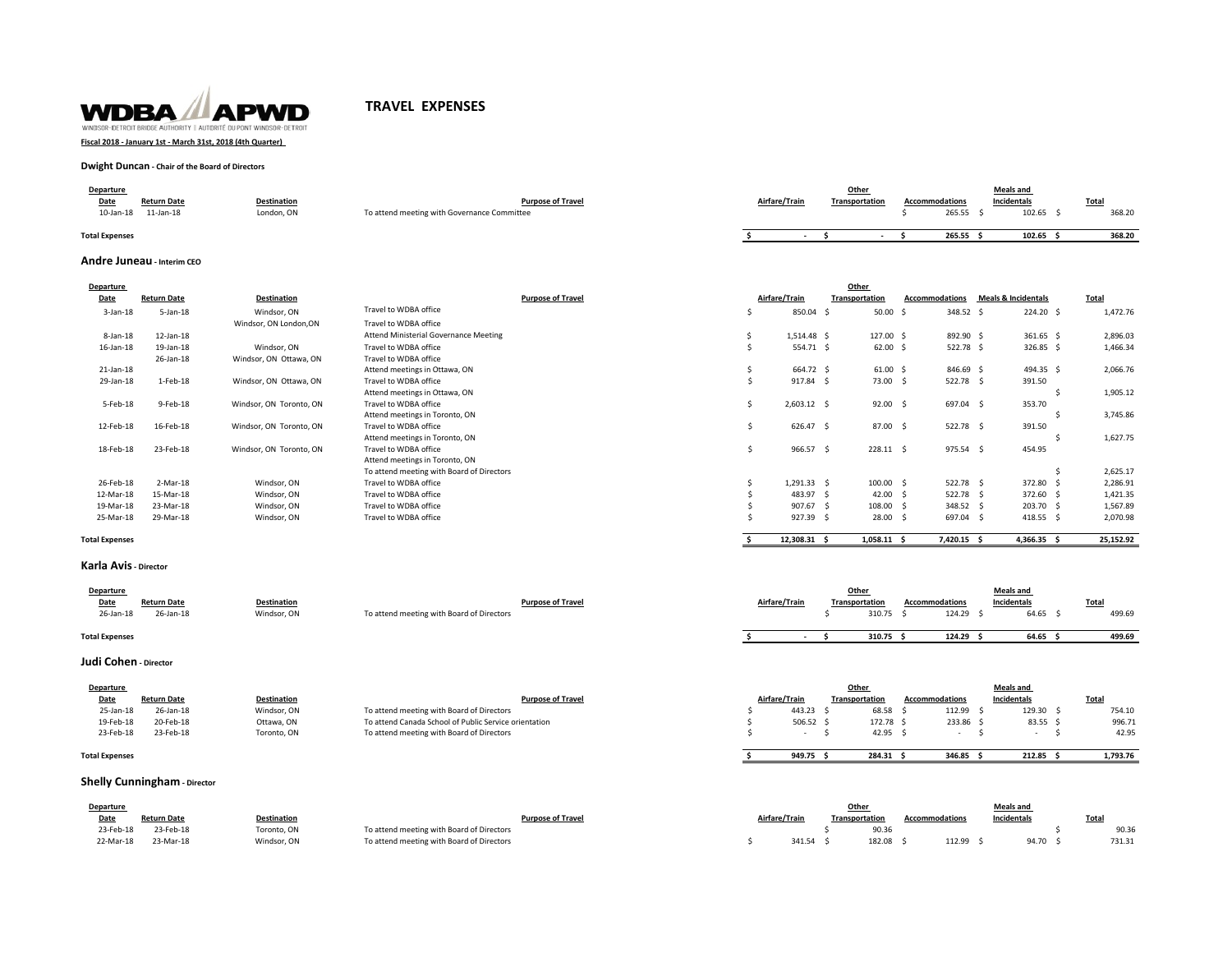

# **TRAVEL EXPENSES**

**Fiscal 2018 - January 1st - March 31st, 2018 (4th Quarter)** 

## **Dwight Duncan - Chair of the Board of Directors**

| Departure             |                    |                    |                                             |               |  | Other          |                       | <b>Meals and</b> |        |
|-----------------------|--------------------|--------------------|---------------------------------------------|---------------|--|----------------|-----------------------|------------------|--------|
| Date                  | <b>Return Date</b> | <b>Destination</b> | <b>Purpose of Travel</b>                    | Airfare/Train |  | Transportation | <b>Accommodations</b> | Incidentals      | Total  |
| 10-Jan-18             | $11$ -Jan- $18$    | London, ON         | To attend meeting with Governance Committee |               |  |                | 265.55                | 102.65           | 368.20 |
| <b>Total Expenses</b> |                    |                    |                                             |               |  |                | 265.55                | 102.65           | 368.20 |

### **Andre Juneau - Interim CEO**

| Departure     |                    |                         | Other                                     |   |               |  |                 |                       |                                |              |  |  |  |
|---------------|--------------------|-------------------------|-------------------------------------------|---|---------------|--|-----------------|-----------------------|--------------------------------|--------------|--|--|--|
| Date          | <b>Return Date</b> | <b>Destination</b>      | <b>Purpose of Travel</b>                  |   | Airfare/Train |  | Transportation  | <b>Accommodations</b> | <b>Meals &amp; Incidentals</b> | <b>Total</b> |  |  |  |
| $3$ -Jan-18   | $5 - Jan - 18$     | Windsor, ON             | Travel to WDBA office                     |   | 850.04 \$     |  | 50.00           | 348.52 \$<br>- Ś      | 224.20 \$                      | 1,472.76     |  |  |  |
|               |                    | Windsor, ON London, ON  | Travel to WDBA office                     |   |               |  |                 |                       |                                |              |  |  |  |
| 8-Jan-18      | 12-Jan-18          |                         | Attend Ministerial Governance Meeting     |   | 1,514.48 \$   |  | 127.00 \$       | 892.90 \$             | 361.65 \$                      | 2,896.03     |  |  |  |
| 16-Jan-18     | 19-Jan-18          | Windsor, ON             | Travel to WDBA office                     |   | 554.71 \$     |  | $62.00$ \$      | 522.78 \$             | 326.85 \$                      | 1,466.34     |  |  |  |
|               | 26-Jan-18          | Windsor, ON Ottawa, ON  | Travel to WDBA office                     |   |               |  |                 |                       |                                |              |  |  |  |
| 21-Jan-18     |                    |                         | Attend meetings in Ottawa, ON             |   | 664.72 \$     |  | $61.00 \quad $$ | 846.69 \$             | 494.35 \$                      | 2,066.76     |  |  |  |
| 29-Jan-18     | 1-Feb-18           | Windsor, ON Ottawa, ON  | Travel to WDBA office                     |   | 917.84 \$     |  | 73.00 \$        | 522.78 \$             | 391.50                         |              |  |  |  |
|               |                    |                         | Attend meetings in Ottawa, ON             |   |               |  |                 |                       |                                | 1,905.12     |  |  |  |
| 5-Feb-18      | 9-Feb-18           | Windsor, ON Toronto, ON | Travel to WDBA office                     |   | $2,603.12$ \$ |  | 92.00           | 697.04 \$<br>- S      | 353.70                         |              |  |  |  |
|               |                    |                         | Attend meetings in Toronto, ON            |   |               |  |                 |                       |                                | 3,745.86     |  |  |  |
| 12-Feb-18     | 16-Feb-18          | Windsor, ON Toronto, ON | Travel to WDBA office                     |   | 626.47 \$     |  | 87.00 \$        | 522.78 \$             | 391.50                         |              |  |  |  |
|               |                    |                         | Attend meetings in Toronto, ON            |   |               |  |                 |                       |                                | 1,627.75     |  |  |  |
| 18-Feb-18     | 23-Feb-18          | Windsor, ON Toronto, ON | Travel to WDBA office                     | s | 966.57 \$     |  | 228.11 \$       | 975.54 \$             | 454.95                         |              |  |  |  |
|               |                    |                         | Attend meetings in Toronto, ON            |   |               |  |                 |                       |                                |              |  |  |  |
|               |                    |                         | To attend meeting with Board of Directors |   |               |  |                 |                       |                                | 2,625.17     |  |  |  |
| 26-Feb-18     | 2-Mar-18           | Windsor, ON             | Travel to WDBA office                     |   | 1,291.33 \$   |  | 100.00          | 522.78 \$             | 372.80                         | 2,286.91     |  |  |  |
| 12-Mar-18     | 15-Mar-18          | Windsor, ON             | Travel to WDBA office                     |   | 483.97 \$     |  | 42.00           | 522.78 \$             | 372.60 \$                      | 1,421.35     |  |  |  |
| 19-Mar-18     | 23-Mar-18          | Windsor, ON             | Travel to WDBA office                     |   | 907.67 \$     |  | 108.00          | 348.52 \$             | 203.70 \$                      | 1,567.89     |  |  |  |
| 25-Mar-18     | 29-Mar-18          | Windsor, ON             | Travel to WDBA office                     |   | 927.39 \$     |  | 28.00           | 697.04 \$             | 418.55 \$                      | 2,070.98     |  |  |  |
|               |                    |                         |                                           |   |               |  |                 |                       |                                |              |  |  |  |
| otal Expenses |                    |                         |                                           |   | 12,308.31 \$  |  | $1,058.11$ \$   | 7,420.15 \$           | 4,366.35 \$                    | 25,152.92    |  |  |  |

### **Total Expenses**

#### **Karla Avis - Director**

| <b>Departure</b><br>Date | <b>Return Date</b> | <b>Destination</b> | <b>Purpose of Travel</b>                  | Airfare/Train | Other<br>Transportation | <b>Accommodations</b> |        | <b>Meals and</b><br>Incidentals | Total  |
|--------------------------|--------------------|--------------------|-------------------------------------------|---------------|-------------------------|-----------------------|--------|---------------------------------|--------|
| 26-Jan-18                | 26-Jan-18          | Windsor, ON        | To attend meeting with Board of Directors |               | 310.75                  |                       | 124.29 | 64.65                           | 499.69 |
| <b>Total Expenses</b>    |                    |                    |                                           |               | 310.75                  |                       | 124.29 | 64.65                           | 499.69 |

# **Judi Cohen - Director**

| Departure             |                    |                    |                                                       |               | Other          |                | <b>Meals and</b>   |              |
|-----------------------|--------------------|--------------------|-------------------------------------------------------|---------------|----------------|----------------|--------------------|--------------|
| Date                  | <b>Return Date</b> | <b>Destination</b> | <b>Purpose of Travel</b>                              | Airfare/Train | Transportation | Accommodations | <b>Incidentals</b> | <b>Total</b> |
| 25-Jan-18             | 26-Jan-18          | Windsor, ON        | To attend meeting with Board of Directors             | 443.23        | 68.58          | 112.99         | 129.30             | 754.10       |
| 19-Feb-18             | 20-Feb-18          | Ottawa, ON         | To attend Canada School of Public Service orientation | $506.52$ \$   | 172.78         | 233.86         | 83.55 \$           | 996.71       |
| 23-Feb-18             | 23-Feb-18          | Toronto, ON        | To attend meeting with Board of Directors             |               | 42.95          |                |                    | 42.95        |
| <b>Total Expenses</b> |                    |                    |                                                       | 949.75        | 284.31         | 346.85         | 212.85             | 1.793.76     |

### **Total Expenses**

# **Shelly Cunningham** - Director

| <b>Departure</b> |                    |             |                                           |               | Other          |                | <b>Meals and</b> |        |
|------------------|--------------------|-------------|-------------------------------------------|---------------|----------------|----------------|------------------|--------|
| Date             | <b>Return Date</b> | Oestination | <b>Purpose of Travel</b>                  | Airfare/Trair | Transportation | Accommodations | Incidentals      | Tota.  |
| 23-Feb-18        | 23-Feb-18          | Toronto, ON | To attend meeting with Board of Directors |               | 90.36          |                |                  | 90.36  |
| 22-Mar-18        | 23-Mar-18          | Windsor, ON | To attend meeting with Board of Directors | 341.54        | 182.08         | 112.99         | 94.70            | 731.31 |